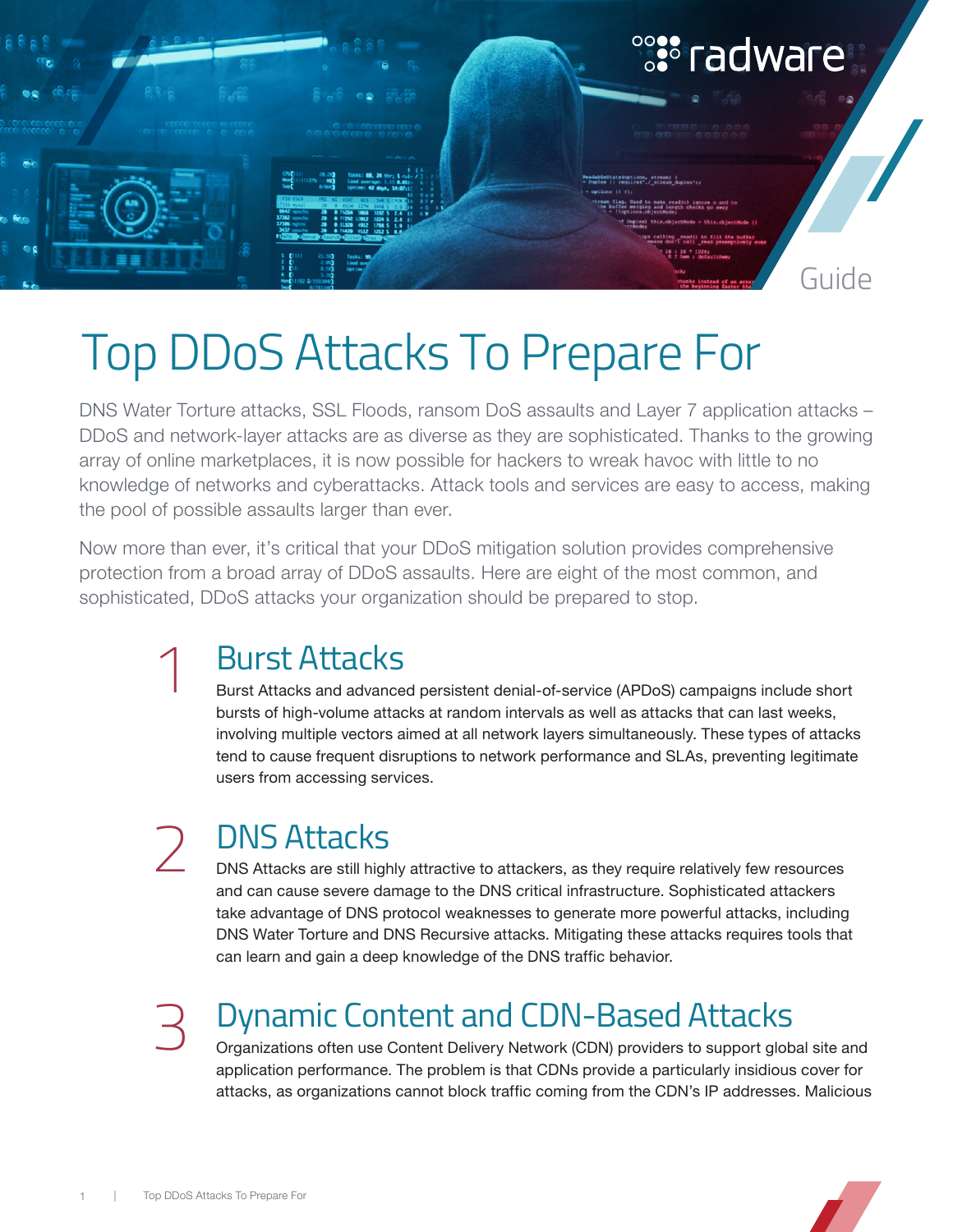

# Top DDoS Attacks To Prepare For

DNS Water Torture attacks, SSL Floods, ransom DoS assaults and Layer 7 application attacks – DDoS and network-layer attacks are as diverse as they are sophisticated. Thanks to the growing array of online marketplaces, it is now possible for hackers to wreak havoc with little to no knowledge of networks and cyberattacks. Attack tools and services are easy to access, making the pool of possible assaults larger than ever.

Now more than ever, it's critical that your DDoS mitigation solution provides comprehensive protection from a broad array of DDoS assaults. Here are eight of the most common, and sophisticated, DDoS attacks your organization should be prepared to stop.

### Burst Attacks 1

Burst Attacks and advanced persistent denial-of-service (APDoS) campaigns include short bursts of high-volume attacks at random intervals as well as attacks that can last weeks, involving multiple vectors aimed at all network layers simultaneously. These types of attacks tend to cause frequent disruptions to network performance and SLAs, preventing legitimate users from accessing services.

# 2

## DNS Attacks

DNS Attacks are still highly attractive to attackers, as they require relatively few resources and can cause severe damage to the DNS critical infrastructure. Sophisticated attackers take advantage of DNS protocol weaknesses to generate more powerful attacks, including DNS Water Torture and DNS Recursive attacks. Mitigating these attacks requires tools that can learn and gain a deep knowledge of the DNS traffic behavior.

# 3

## Dynamic Content and CDN-Based Attacks

Organizations often use Content Delivery Network (CDN) providers to support global site and application performance. The problem is that CDNs provide a particularly insidious cover for attacks, as organizations cannot block traffic coming from the CDN's IP addresses. Malicious

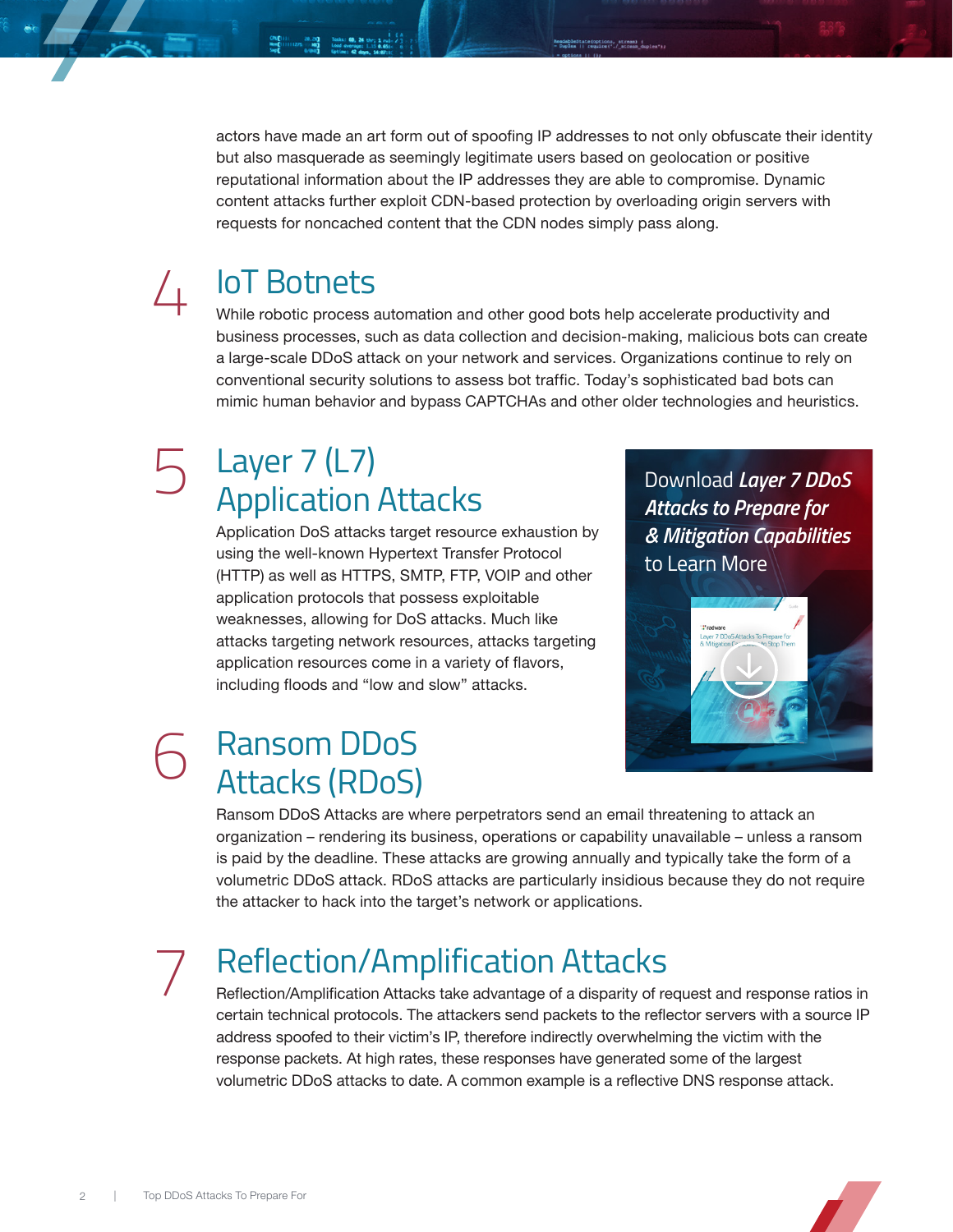actors have made an art form out of spoofing IP addresses to not only obfuscate their identity but also masquerade as seemingly legitimate users based on geolocation or positive reputational information about the IP addresses they are able to compromise. Dynamic content attacks further exploit CDN-based protection by overloading origin servers with requests for noncached content that the CDN nodes simply pass along.

### IoT Botnets 4

While robotic process automation and other good bots help accelerate productivity and business processes, such as data collection and decision-making, malicious bots can create a large-scale DDoS attack on your network and services. Organizations continue to rely on conventional security solutions to assess bot traffic. Today's sophisticated bad bots can mimic human behavior and bypass CAPTCHAs and other older technologies and heuristics.

#### Layer 7 (L7) Application Attacks 5

Application DoS attacks target resource exhaustion by using the well-known Hypertext Transfer Protocol (HTTP) as well as HTTPS, SMTP, FTP, VOIP and other application protocols that possess exploitable weaknesses, allowing for DoS attacks. Much like attacks targeting network resources, attacks targeting application resources come in a variety of flavors, including floods and "low and slow" attacks.

Download *Layer 7 DDoS Attacks to Prepare for & Mitigation Capabilities* to Learn More



#### Ransom DDoS Attacks (RDoS) 6

Ransom DDoS Attacks are where perpetrators send an email threatening to attack an organization – rendering its business, operations or capability unavailable – unless a ransom is paid by the deadline. These attacks are growing annually and typically take the form of a volumetric DDoS attack. RDoS attacks are particularly insidious because they do not require the attacker to hack into the target's network or applications.

7

## Reflection/Amplification Attacks

Reflection/Amplification Attacks take advantage of a disparity of request and response ratios in certain technical protocols. The attackers send packets to the reflector servers with a source IP address spoofed to their victim's IP, therefore indirectly overwhelming the victim with the response packets. At high rates, these responses have generated some of the largest volumetric DDoS attacks to date. A common example is a reflective DNS response attack.

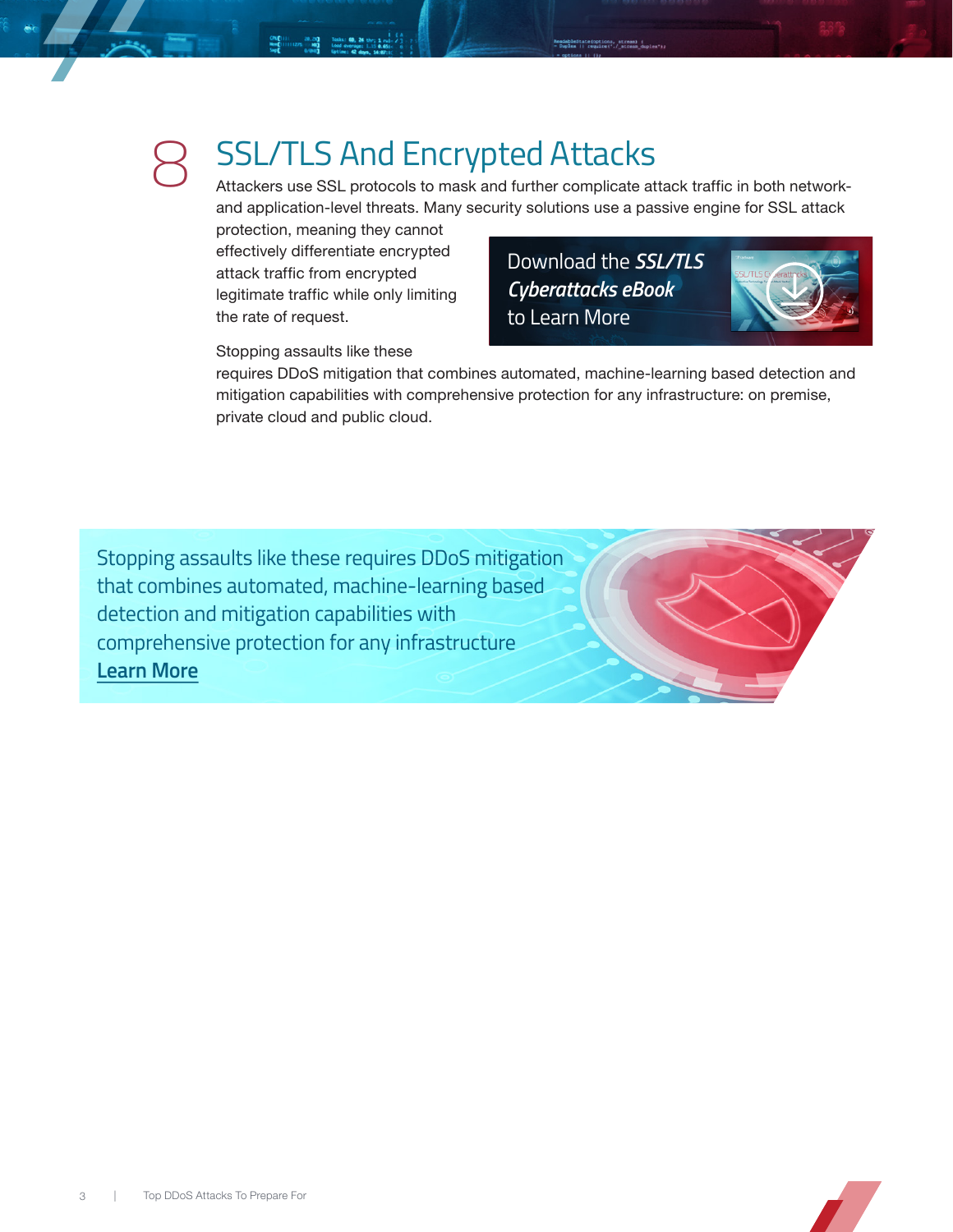

# SSL/TLS And Encrypted Attacks

Attackers use SSL protocols to mask and further complicate attack traffic in both networkand application-level threats. Many security solutions use a passive engine for SSL attack

protection, meaning they cannot effectively differentiate encrypted attack traffic from encrypted legitimate traffic while only limiting the rate of request.

Download the *SSL/TLS Cyberattacks eBook* to Learn More



Stopping assaults like these

requires DDoS mitigation that combines automated, machine-learning based detection and mitigation capabilities with comprehensive protection for any infrastructure: on premise, private cloud and public cloud.

[Stopping assaults like these requires DDoS mitigation](https://www.radware.com/solutions/data-center-protection/)  that combines automated, machine-learning based detection and mitigation capabilities with comprehensive protection for any infrastructure **Learn More**